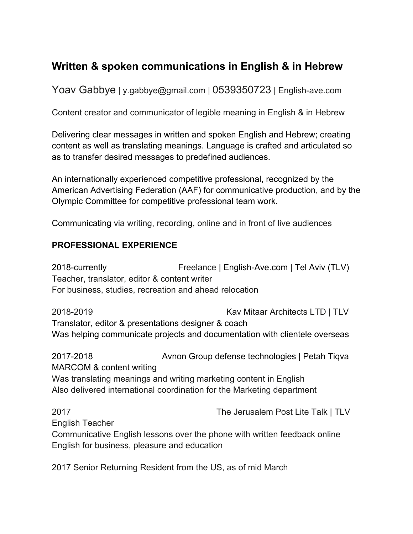# **Written & spoken communications in English & in Hebrew**

Yoav Gabbye | y.gabbye@gmail.com | 0539350723 | English-ave.com

Content creator and communicator of legible meaning in English & in Hebrew

Delivering clear messages in written and spoken English and Hebrew; creating content as well as translating meanings. Language is crafted and articulated so as to transfer desired messages to predefined audiences.

An internationally experienced competitive professional, recognized by the American Advertising Federation (AAF) for communicative production, and by the Olympic Committee for competitive professional team work.

Communicating via writing, recording, online and in front of live audiences

## **PROFESSIONAL EXPERIENCE**

2018-currently Freelance | English-Ave.com | Tel Aviv (TLV) Teacher, translator, editor & content writer For business, studies, recreation and ahead relocation

2018-2019 Kav Mitaar Architects LTD | TLV Translator, editor & presentations designer & coach Was helping communicate projects and documentation with clientele overseas

2017-2018 Avnon Group defense technologies | Petah Tiqva MARCOM & content writing Was translating meanings and writing marketing content in English Also delivered international coordination for the Marketing department

2017 The Jerusalem Post Lite Talk | TLV English Teacher Communicative English lessons over the phone with written feedback online English for business, pleasure and education

2017 Senior Returning Resident from the US, as of mid March